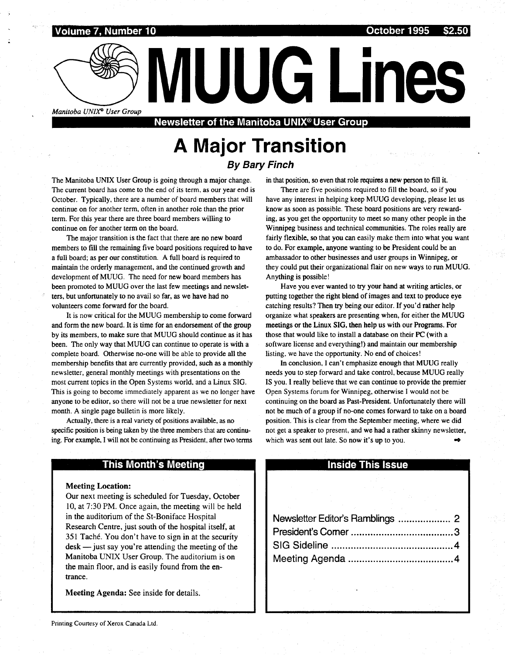# Volume 7, Number 10 October 1995 \$2.50 es<br>Estados de <mark>Volum</mark><br>Estados de <mark>Volum</mark>

Manitoba UNIX<sup>®</sup> User Group<br>Newsletter of the Manitoba UNIX<sup>®</sup> User Group

# A Major Transition

By Bary Finch

The Manitoba UNIX User Group is going through a major change. The current board has come to the end of its term, as our year end is October. Typically, there are a number of board members that will continue on for another term, often in another role than the prior term. For this year there are three board members willing to continue on for another term on the board.

The major transition is the fact that there are no new board members to fill the remaining five board positions required to have a full board; as per our constitution. A full board is required to maintain the orderly management, and the continued growth and development of MUUG. The need for new board members has been promoted to MUUG over the last few meetings and newsletters, but unfortunately to no avail so far, as we have had no volunteers come forward for the board.

It is now critical for the MUUG membership to come forward and form the new board. It is time for an endorsement of the group by its members, to make sure that MUUG should continue as it has been. The only way that MUUG can continue to operate is with a complete board. Otherwise no-one will be able to provide all the membership benefits that are currently provided, such as a monthly newsletter, general monthly meetings with presentations on the most current topics in the Open Systems world, and a Linux SIG. This is going to become immediately apparent as we no longer have anyone to be editor, so there will not be a true newsletter for next month. A single page bulletin is more likely.

Actually, there is a real variety of positions available, as no specific position is being taken by the three members that are continuing. For example, I will not be continuing as President, after two terms in that position, so even that role requires a new person to fill it .

There are five positions required to fill the board, so if you have any interest in helping keep MUUG developing, please let us know as soon as possible. These board positions are very rewarding, as you get the opportunity to meet so many other people in the Winnipeg business and technical communities . The roles really are fairly flexible, so that you can easily make them into what you want to do. For example, anyone wanting to be President could be an ambassador to other businesses and user groups in Winnipeg, or they could put their organizational flair on new ways to run MUUG . Anything is possible!

Have you ever wanted to try your hand at writing articles, or putting together the right blend of images and text to produce eye catching results? Then try being our editor. If you'd rather help organize what speakers are presenting when, for either the MUUG meetings or the Linux SIG, then help us with our Programs . For those that would like to install a database on their PC (with a software license and everything!) and maintain our membership listing, we have the opportunity. No end of choices!

In conclusion, I can't emphasize enough that MUUG really needs you to step forward and take control, because MUUG really IS you. I really believe that we can continue to provide the premier Open Systems forum for Winnipeg, otherwise I would not be continuing on the board as Past-President. Unfortunately there will not be much of a group if no-one comes forward to take on a board position. This is clear from the September meeting, where we did not get a speaker to present, and we had a rather skinny newsletter, which was sent out late. So now it's up to you. w

#### This Month's Meeting

Meeting Location:

Our next meeting is scheduled for Tuesday, October 10, at 7:30 PM. Once again, the meeting will be held in the auditorium of the St-Boniface Hospital Research Centre, just south of the hospital itself, at 351 Taché. You don't have to sign in at the security  $\text{de}$ sk  $-$  just say you're attending the meeting of the Manitoba UNIX User Group. The auditorium is on the main floor, and is easily found from the entrance .

Meeting Agenda: See inside for details .

#### Inside This Issue

| hich was sent out late. So now it's up to you. | ot get a speaker to present, and we had a rather skinny newsletter |  |
|------------------------------------------------|--------------------------------------------------------------------|--|
|                                                |                                                                    |  |
|                                                | <b>Inside This Issue</b>                                           |  |
|                                                |                                                                    |  |
|                                                |                                                                    |  |
|                                                |                                                                    |  |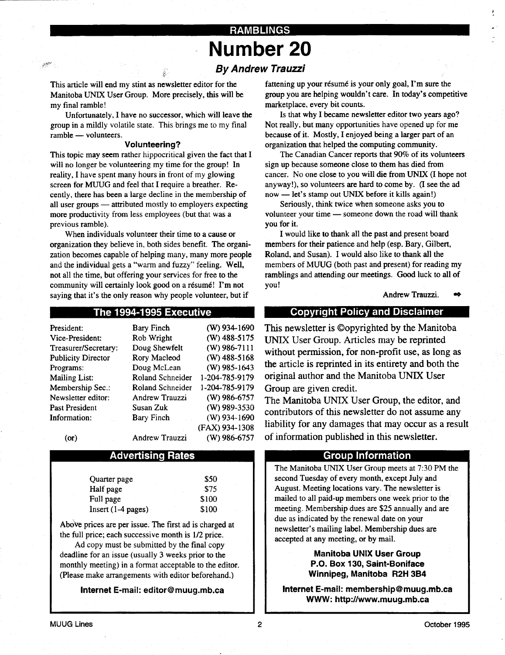## RAMBLINGS Number 20

### By Andrew Trauzzi

This article will end my stint as newsletter editor for the Manitoba UNIX User Group. More precisely, this will be my final ramble!

Unfortunately, I have no successor, which will leave the group in a mildly volatile state. This brings me to my final ramble - volunteers.

#### Volunteering?

This topic may seem rather hippocritical given the fact that I will no longer be volunteering my time for the group! In reality, I have spent many hours in front of my glowing screen for MUUG and feel that I require a breather. Recently, there has been a large decline in the membership of all user groups — attributed mostly to employers expecting more productivity from less employees (but that was a previous ramble).

When individuals volunteer their time to a cause or organization they believe in, both sides benefit. The organization becomes capable of helping many, many more people and the individual gets a "warm and fuzzy" feeling. Well, not all the time, but offering your services for free to the community will certainly look good on a résumé! I'm not saying that it's the only reason why people volunteer, but if

#### The 1994-1995 Executive

| President:                | <b>Bary Finch</b>     | $(W)$ 934-1690 |
|---------------------------|-----------------------|----------------|
| Vice-President:           | Rob Wright            | (W) 488-5175   |
| Treasurer/Secretary:      | Doug Shewfelt         | $(W)$ 986-7111 |
| <b>Publicity Director</b> | Rory Macleod          | $(W)$ 488-5168 |
| Programs:                 | Doug McLean           | $(W)$ 985-1643 |
| <b>Mailing List:</b>      | Roland Schneider      | 1-204-785-9179 |
| Membership Sec.:          | Roland Schneider      | 1-204-785-9179 |
| Newsletter editor:        | Andrew Trauzzi        | $(W)$ 986-6757 |
| Past President            | Susan Zuk             | (W) 989-3530   |
| <b>Information:</b>       | Bary Finch            | $(W)$ 934-1690 |
|                           |                       | (FAX) 934-1308 |
| (or)                      | <b>Andrew Trauzzi</b> | $(W)$ 986-6757 |

#### Advertising Rates

| Quarter page         | \$50  |
|----------------------|-------|
| Half page            | \$75  |
| Full page            | \$100 |
| $Insert (1-4 pages)$ | \$100 |

Above prices are per issue . The first ad is charged at the full price; each successive month is  $1/2$  price.

Ad copy must be submitted by the final copy deadline for an issue (usually 3 weeks prior to the monthly meeting) in a format acceptable to the editor. (Please make arrangements with editor beforehand.)

Internet E-mail: editor@muug .mb.ca

fattening up your résumé is your only goal, I'm sure the group you are helping wouldn't care . In today's competitive marketplace, every bit counts.

Is that why I became newsletter editor two years ago? Not really, but many opportunities have opened up for me because of it. Mostly, I enjoyed being a larger part of an organization that helped the computing community .

The Canadian Cancer reports that 90% of its volunteers sign up because someone close to them has died from cancer. No one close to you will die from UNIX (I hope not anyway!), so volunteers are hard to come by. (I see the ad now — let's stamp out UNIX before it kills again!)

Seriously, think twice when someone asks you to volunteer your time — someone down the road will thank you for it.

I would like to thank all the past and present board members for their patience and help (esp. Bary, Gilbert, Roland, and Susan). I would also like to thank all the members of MUUG (both past and present) for reading my ramblings and attending our meetings. Good luck to all of you!

Andrew Trauzzi.

#### Copyright Policy and Disclaimer

This newsletter is ©opyrighted by the Manitoba UNIX User Group. Articles may be reprinted without permission, for non-profit use, as long as the article is reprinted in its entirety and both the original author and the Manitoba UNIX User Group are given credit.

The Manitoba UNIX User Group, the editor, and contributors of this newsletter do not assume any liability for any damages that may occur as a result of information published in this newsletter .

#### Group Information

The Manitoba UNIX User Group meets at 7:30 PM the second Tuesday of every month, except July and August. Meeting locations vary. The newsletter is mailed to all paid-up members one week prior to the meeting. Membership dues are \$25 annually and are due as indicated by the renewal date on your newsletter's mailing label. Membership dues are accepted at any meeting, or by mail.

> Manitoba UNIX User Group P.O. Box 130, Saint-Boniface Winnipeg, Manitoba R2H 3B4

Internet E-mail: membership@muug.mb.ca WWW: http://www.muug.mb.ca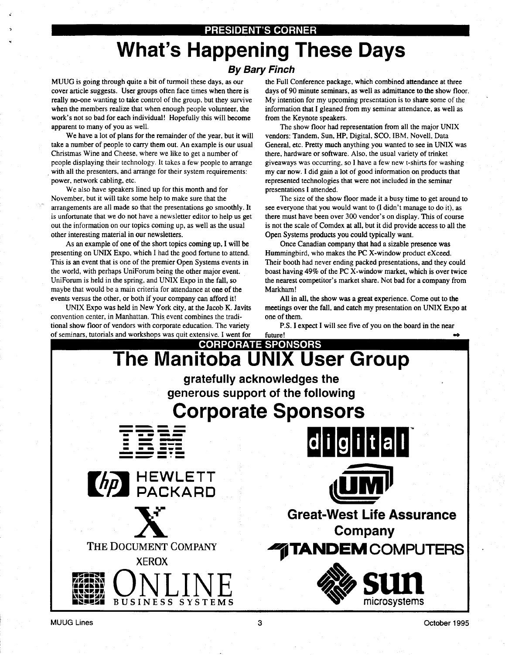#### PRESIDENT'S CORNER

# What's Happening These Days

#### By Bary Finch

cover article suggests. User groups often face times when there is really no-one wanting to take control of the group, but they survive when the members realize that when enough people volunteer, the work's not so bad for each individual! Hopefully this will become apparent to many of you as well.

 

We have a lot of plans for the remainder of the year, but it will take a number of people to carry them out . An example is our usual Christmas Wine and Cheese, where we like to get a number of people displaying their technology . It takes a few people to arrange with all the presenters, and arrange for their system requirements: power, network cabling, etc.

We also have speakers lined up for this month and for November, but it will take some help to make sure that the arrangements are all made so that the presentations go smoothly . It is unfortunate that we do not have a newsletter editor to help us get out the information on our topics coming up, as well as the usual other interesting material in our newsletters .

As an example of one of the short topics coming up, I will be presenting on UNIX Expo, which I had the good fortune to attend. This is an event that is one of the premier Open Systems events in the world, with perhaps UniForum being the other major event. UniForum is held in the spring, and UNIX Expo in the fall, so maybe that would be a main criteria for attendance at one of the events versus the other, or both if your company can afford it!

UNIX Expo was held in New York city, at the Jacob K. Javits convention center, in Manhattan. This event combines the traditional show floor of vendors with corporate education. The variety of seminars, tutorials and workshops was quit extensive . I went for

MUUG is going through quite a bit of turmoil these days, as our the Full Conference package, which combined attendance at three days of 90 minute seminars, as well as admittance to the show floor. My intention for my upcoming presentation is to share some of the information that I gleaned from my seminar attendance, as well as from the Keynote speakers .

> The show floor had representation from all the major UNIX vendors: Tandem, Sun, HP, Digital, SCO, IBM, Novell, Data General, etc. Pretty much anything you wanted to see in UNIX was there, hardware or software . Also, the usual variety of trinket giveaways was occurring, so I have a few new t-shirts for washing my car now . I did gain a lot of good information on products that represented technologies that were not included in the seminar presentations I attended.

> The size of the show floor made it a busy time to get around to see everyone that you would want to (I didn't manage to do it), as there must have been over 300 vendor's on display . This of course is not the scale of Comdex at all, but it did provide access to all the Open Systems products you could typically want.

> Once Canadian company that had a sizable presence was Hummingbird, who makes the PC X-window product eXceed. Their booth had never ending packed presentations, and they could boast having 49% of the PC X-window market, which is over twice the nearest competitor's market share . Not bad for a company from Markham!

> All in all, the show was a great experience. Come out to the meetings over the fall, and catch my presentation on UNIX Expo at one of them . P.S . I expect I will see five of you on the board in the near